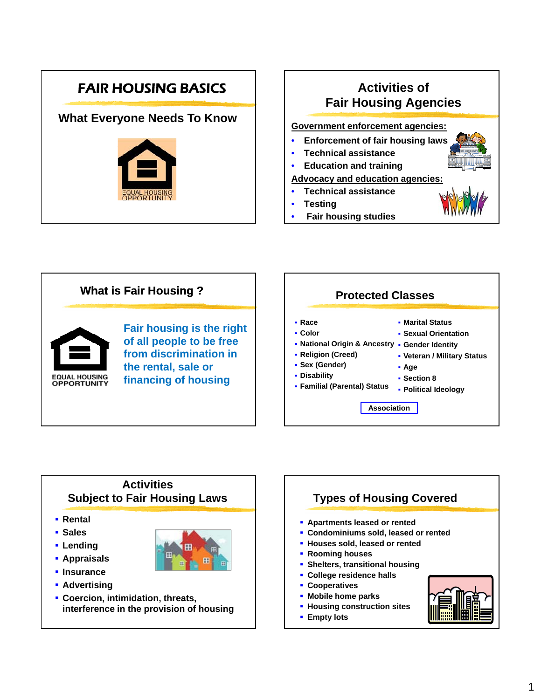# FAIR HOUSING BASICS

# **What Everyone Needs To Know**



# **Activities of Fair Housing Agencies**

#### **Government enforcement agencies:**

- **Enforcement of fair housing laws**
- **Technical assistance**
- **Education and training**

#### **Advocacy and education agencies:**

- **Technical assistance**
- **Testing**
- **Fair housing studies**



# **Activities Subject to Fair Housing Laws**

- **Rental**
- **Sales**
- **Lending**
- **Appraisals**
- **Insurance**
- **Advertising**
- **Coercion, intimidation, threats, interference in the provision of housing**



**Empty lots**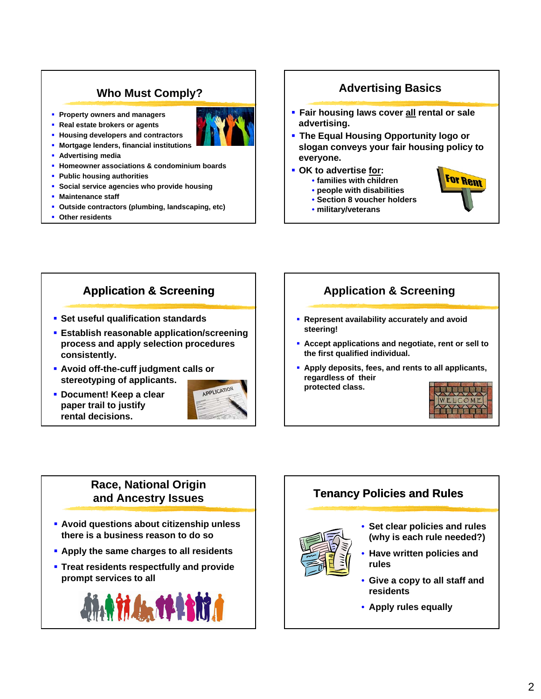# **Who Must Comply?**

**Property owners and managers Real estate brokers or agents**



**E** Mortgage lenders, financial institutions

**Housing developers and contractors** 

- **Advertising media**
- **Homeowner associations & condominium boards**
- **Public housing authorities**
- **Social service agencies who provide housing**
- **Maintenance staff**
- **Outside contractors (plumbing, landscaping, etc)**
- **Other residents**

## **Advertising Basics**

- **Fair housing laws cover all rental or sale advertising.**
- **The Equal Housing Opportunity logo or slogan conveys your fair housing policy to conveys your fair housing policy everyone.**
- **OK to advertise for:**
	- **families with children**
	- **people with disabilities**
	- **Section 8 voucher holders**
	- **military/veterans**

# **Application & Screening**

- **Set useful qualification standards**
- **Establish reasonable application/screening process and apply selection procedures consistently.**
- **Avoid off-the-cuff judgment calls or stereotyping of applicants.**
- **Document! Keep a clear paper trail to justify rental decisions.**



# **Application & Screening**

- **Represent availability accurately and avoid steering!**
- **Accept applications and negotiate, rent or sell to the first qualified individual.**
- **Apply deposits, fees, and rents to all applicants, regardless of their protected class.**



**For Rent** 

## **Race, National Origin and Ancestry Issues**

- **Avoid questions about citizenship unless there is a business reason to do so**
- **E** Apply the same charges to all residents
- **Treat residents respectfully and provide prompt services to all**



# **Tenancy Policies and Rules**



- **Set clear policies and rules (why is each rule needed?)**
- **Have written policies Have written and rules**
- **Give a copy to all staff and residents**
- **Apply rules equally**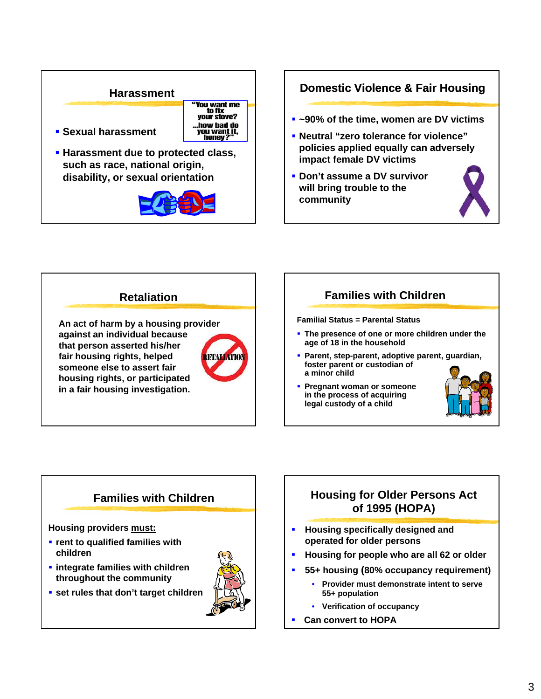#### **Harassment**



- **Sexual harassment**
- **Harassment due to protected class, such as race, national origin, disability, or sexual orientation**



## **Domestic Violence & Fair Housing**

- **~90% of the time, women are DV victims**
- **Neutral "zero tolerance for violence" policies applied equally policies applied can adversely impact female DV victims**
- **Don't assume a DV survivor will bring trouble to the community**





# **Families with Children**

#### **Familial Status = Parental Status**

- **The presence of one or more children under the age of 18 in the household**
- **Parent, step-parent, adoptive parent, guardian, foster parent or custodian of a minor child**
- **Pregnant woman or someone in the process of acquiring legal custody of a child**



# **Families with Children**

**Housing providers must:**

- **rent to qualified families with children**
- **integrate families with children throughout the community**
- **set rules that don't target children**



# **Housing for Older Persons Act of 1995 (HOPA)**

- **Housing specifically designed and operated for older persons**
- **Housing for people who are all 62 or older**
- **55+ housing (80% occupancy requirement)**
	- **Provider must demonstrate intent to serve 55+ population**
	- **Verification of occupancy**
- **Can convert to HOPA**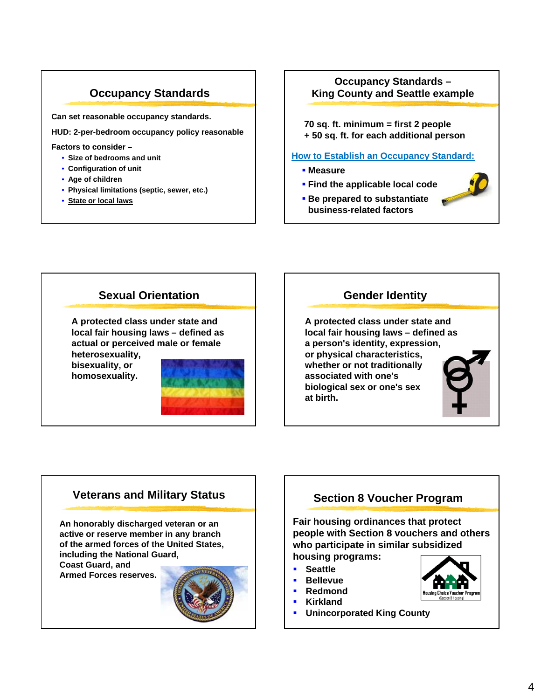# **Occupancy Standards**

**Can set reasonable occupancy standards.**

**HUD: 2-per-bedroom occupancy policy reasonable**

#### **Factors** to consider –

- **Size of bedrooms and unit**
- **Configuration of unit**
- **Age of children**
- **Physical limitations (septic, sewer, etc.)**
- **State or local laws**

### **Occupancy Standards – King County and Seattle example**

**70 sq. ft. minimum = first 2 people + 50 sq. ft. for each additional person**

#### **How to Establish an Occupancy Standard:**

- **Measure**
- **Find the applicable local code**
- **Be prepared to substantiate business-related factors**



## **Gender Identity**

**A protected class under state and local fair housing laws – defined as a person's identity, expression, or physical characteristics, whether or not traditionally associated with one's biological sex or one's sex at birth.**

## **Veterans and Military Status**

**An honorably discharged veteran or an active or reserve member in any branch of the armed forces of the United States, including the National Guard,** 

**Coast Guard, and Armed Forces reserves.**



# **Section 8 Voucher Program**

**Fair housing ordinances that protect people with Section 8 vouchers and others who participate in similar subsidized housing programs:**

- **Seattle**
- **Bellevue**
- **Redmond**
- **Kirkland**
- **Unincorporated King County**